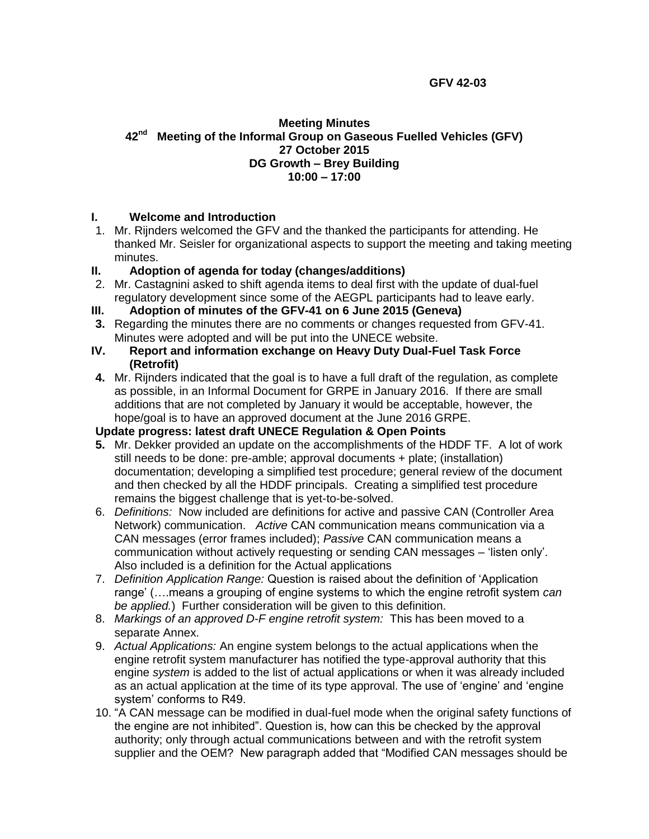# **Meeting Minutes 42 nd Meeting of the Informal Group on Gaseous Fuelled Vehicles (GFV) 27 October 2015 DG Growth – Brey Building 10:00 – 17:00**

# **I. Welcome and Introduction**

1. Mr. Rijnders welcomed the GFV and the thanked the participants for attending. He thanked Mr. Seisler for organizational aspects to support the meeting and taking meeting minutes.

# **II. Adoption of agenda for today (changes/additions)**

- 2. Mr. Castagnini asked to shift agenda items to deal first with the update of dual-fuel regulatory development since some of the AEGPL participants had to leave early.
- **III. Adoption of minutes of the GFV-41 on 6 June 2015 (Geneva)**
- **3.** Regarding the minutes there are no comments or changes requested from GFV-41. Minutes were adopted and will be put into the UNECE website.
- **IV. Report and information exchange on Heavy Duty Dual-Fuel Task Force (Retrofit)**
- **4.** Mr. Rijnders indicated that the goal is to have a full draft of the regulation, as complete as possible, in an Informal Document for GRPE in January 2016. If there are small additions that are not completed by January it would be acceptable, however, the hope/goal is to have an approved document at the June 2016 GRPE.

### **Update progress: latest draft UNECE Regulation & Open Points**

- **5.** Mr. Dekker provided an update on the accomplishments of the HDDF TF. A lot of work still needs to be done: pre-amble; approval documents + plate; (installation) documentation; developing a simplified test procedure; general review of the document and then checked by all the HDDF principals. Creating a simplified test procedure remains the biggest challenge that is yet-to-be-solved.
- 6. *Definitions:* Now included are definitions for active and passive CAN (Controller Area Network) communication. *Active* CAN communication means communication via a CAN messages (error frames included); *Passive* CAN communication means a communication without actively requesting or sending CAN messages – 'listen only'. Also included is a definition for the Actual applications
- 7. *Definition Application Range:* Question is raised about the definition of 'Application range' (….means a grouping of engine systems to which the engine retrofit system *can be applied.*) Further consideration will be given to this definition.
- 8. *Markings of an approved D-F engine retrofit system:* This has been moved to a separate Annex.
- 9. *Actual Applications:* An engine system belongs to the actual applications when the engine retrofit system manufacturer has notified the type-approval authority that this engine *system* is added to the list of actual applications or when it was already included as an actual application at the time of its type approval. The use of 'engine' and 'engine system' conforms to R49.
- 10. "A CAN message can be modified in dual-fuel mode when the original safety functions of the engine are not inhibited". Question is, how can this be checked by the approval authority; only through actual communications between and with the retrofit system supplier and the OEM? New paragraph added that "Modified CAN messages should be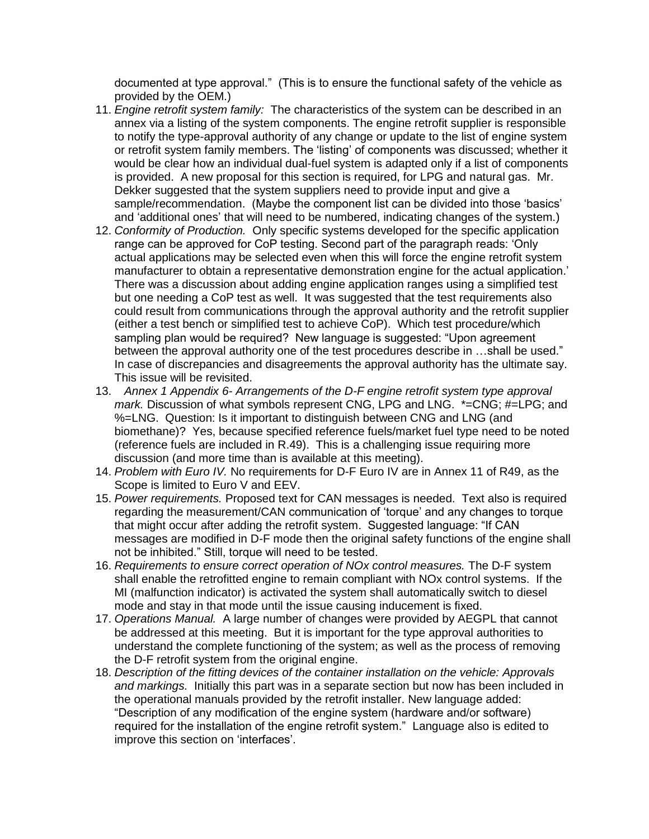documented at type approval." (This is to ensure the functional safety of the vehicle as provided by the OEM.)

- 11. *Engine retrofit system family:* The characteristics of the system can be described in an annex via a listing of the system components. The engine retrofit supplier is responsible to notify the type-approval authority of any change or update to the list of engine system or retrofit system family members. The 'listing' of components was discussed; whether it would be clear how an individual dual-fuel system is adapted only if a list of components is provided. A new proposal for this section is required, for LPG and natural gas. Mr. Dekker suggested that the system suppliers need to provide input and give a sample/recommendation. (Maybe the component list can be divided into those 'basics' and 'additional ones' that will need to be numbered, indicating changes of the system.)
- 12. *Conformity of Production.* Only specific systems developed for the specific application range can be approved for CoP testing. Second part of the paragraph reads: 'Only actual applications may be selected even when this will force the engine retrofit system manufacturer to obtain a representative demonstration engine for the actual application.' There was a discussion about adding engine application ranges using a simplified test but one needing a CoP test as well. It was suggested that the test requirements also could result from communications through the approval authority and the retrofit supplier (either a test bench or simplified test to achieve CoP). Which test procedure/which sampling plan would be required? New language is suggested: "Upon agreement between the approval authority one of the test procedures describe in …shall be used." In case of discrepancies and disagreements the approval authority has the ultimate say. This issue will be revisited.
- 13. *Annex 1 Appendix 6- Arrangements of the D-F engine retrofit system type approval mark.* Discussion of what symbols represent CNG, LPG and LNG. \*=CNG; #=LPG; and %=LNG. Question: Is it important to distinguish between CNG and LNG (and biomethane)? Yes, because specified reference fuels/market fuel type need to be noted (reference fuels are included in R.49). This is a challenging issue requiring more discussion (and more time than is available at this meeting).
- 14. *Problem with Euro IV.* No requirements for D-F Euro IV are in Annex 11 of R49, as the Scope is limited to Euro V and EEV.
- 15. *Power requirements.* Proposed text for CAN messages is needed. Text also is required regarding the measurement/CAN communication of 'torque' and any changes to torque that might occur after adding the retrofit system. Suggested language: "If CAN messages are modified in D-F mode then the original safety functions of the engine shall not be inhibited." Still, torque will need to be tested.
- 16. *Requirements to ensure correct operation of NOx control measures.* The D-F system shall enable the retrofitted engine to remain compliant with NOx control systems. If the MI (malfunction indicator) is activated the system shall automatically switch to diesel mode and stay in that mode until the issue causing inducement is fixed.
- 17. *Operations Manual.* A large number of changes were provided by AEGPL that cannot be addressed at this meeting. But it is important for the type approval authorities to understand the complete functioning of the system; as well as the process of removing the D-F retrofit system from the original engine.
- 18. *Description of the fitting devices of the container installation on the vehicle: Approvals and markings.* Initially this part was in a separate section but now has been included in the operational manuals provided by the retrofit installer. New language added: "Description of any modification of the engine system (hardware and/or software) required for the installation of the engine retrofit system." Language also is edited to improve this section on 'interfaces'.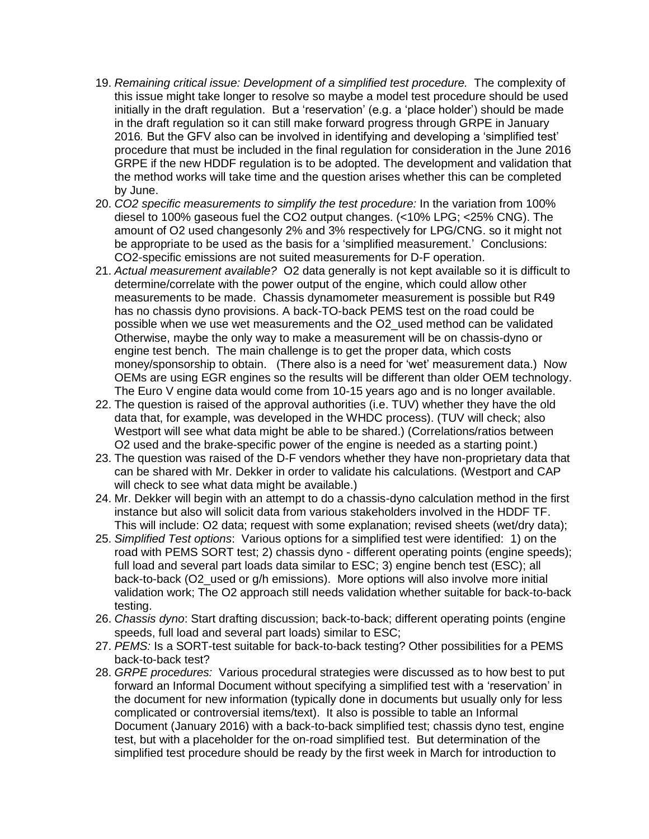- 19. *Remaining critical issue: Development of a simplified test procedure.* The complexity of this issue might take longer to resolve so maybe a model test procedure should be used initially in the draft regulation. But a 'reservation' (e.g. a 'place holder') should be made in the draft regulation so it can still make forward progress through GRPE in January 2016*.* But the GFV also can be involved in identifying and developing a 'simplified test' procedure that must be included in the final regulation for consideration in the June 2016 GRPE if the new HDDF regulation is to be adopted. The development and validation that the method works will take time and the question arises whether this can be completed by June.
- 20. *CO2 specific measurements to simplify the test procedure:* In the variation from 100% diesel to 100% gaseous fuel the CO2 output changes. (<10% LPG; <25% CNG). The amount of O2 used changesonly 2% and 3% respectively for LPG/CNG. so it might not be appropriate to be used as the basis for a 'simplified measurement.' Conclusions: CO2-specific emissions are not suited measurements for D-F operation.
- 21. *Actual measurement available?* O2 data generally is not kept available so it is difficult to determine/correlate with the power output of the engine, which could allow other measurements to be made. Chassis dynamometer measurement is possible but R49 has no chassis dyno provisions. A back-TO-back PEMS test on the road could be possible when we use wet measurements and the O2\_used method can be validated Otherwise, maybe the only way to make a measurement will be on chassis-dyno or engine test bench. The main challenge is to get the proper data, which costs money/sponsorship to obtain. (There also is a need for 'wet' measurement data.) Now OEMs are using EGR engines so the results will be different than older OEM technology. The Euro V engine data would come from 10-15 years ago and is no longer available.
- 22. The question is raised of the approval authorities (i.e. TUV) whether they have the old data that, for example, was developed in the WHDC process). (TUV will check; also Westport will see what data might be able to be shared.) (Correlations/ratios between O2 used and the brake-specific power of the engine is needed as a starting point.)
- 23. The question was raised of the D-F vendors whether they have non-proprietary data that can be shared with Mr. Dekker in order to validate his calculations. (Westport and CAP will check to see what data might be available.)
- 24. Mr. Dekker will begin with an attempt to do a chassis-dyno calculation method in the first instance but also will solicit data from various stakeholders involved in the HDDF TF. This will include: O2 data; request with some explanation; revised sheets (wet/dry data);
- 25. *Simplified Test options*: Various options for a simplified test were identified: 1) on the road with PEMS SORT test; 2) chassis dyno - different operating points (engine speeds); full load and several part loads data similar to ESC; 3) engine bench test (ESC); all back-to-back (O2\_used or g/h emissions). More options will also involve more initial validation work; The O2 approach still needs validation whether suitable for back-to-back testing.
- 26. *Chassis dyno*: Start drafting discussion; back-to-back; different operating points (engine speeds, full load and several part loads) similar to ESC;
- 27. *PEMS:* Is a SORT-test suitable for back-to-back testing? Other possibilities for a PEMS back-to-back test?
- 28. *GRPE procedures:* Various procedural strategies were discussed as to how best to put forward an Informal Document without specifying a simplified test with a 'reservation' in the document for new information (typically done in documents but usually only for less complicated or controversial items/text). It also is possible to table an Informal Document (January 2016) with a back-to-back simplified test; chassis dyno test, engine test, but with a placeholder for the on-road simplified test. But determination of the simplified test procedure should be ready by the first week in March for introduction to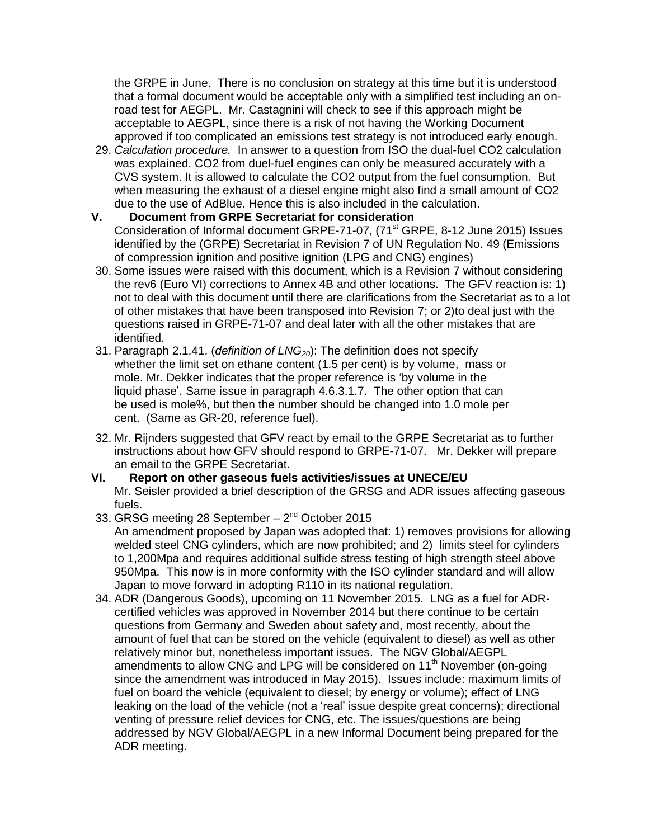the GRPE in June. There is no conclusion on strategy at this time but it is understood that a formal document would be acceptable only with a simplified test including an onroad test for AEGPL. Mr. Castagnini will check to see if this approach might be acceptable to AEGPL, since there is a risk of not having the Working Document approved if too complicated an emissions test strategy is not introduced early enough.

29. *Calculation procedure.* In answer to a question from ISO the dual-fuel CO2 calculation was explained. CO2 from duel-fuel engines can only be measured accurately with a CVS system. It is allowed to calculate the CO2 output from the fuel consumption. But when measuring the exhaust of a diesel engine might also find a small amount of CO2 due to the use of AdBlue. Hence this is also included in the calculation.

### **V. Document from GRPE Secretariat for consideration**

Consideration of Informal document GRPE-71-07, (71<sup>st</sup> GRPE, 8-12 June 2015) Issues identified by the (GRPE) Secretariat in Revision 7 of UN Regulation No. 49 (Emissions of compression ignition and positive ignition (LPG and CNG) engines)

- 30. Some issues were raised with this document, which is a Revision 7 without considering the rev6 (Euro VI) corrections to Annex 4B and other locations. The GFV reaction is: 1) not to deal with this document until there are clarifications from the Secretariat as to a lot of other mistakes that have been transposed into Revision 7; or 2)to deal just with the questions raised in GRPE-71-07 and deal later with all the other mistakes that are identified.
- 31. Paragraph 2.1.41. (*definition of LNG20*): The definition does not specify whether the limit set on ethane content (1.5 per cent) is by volume, mass or mole. Mr. Dekker indicates that the proper reference is 'by volume in the liquid phase'. Same issue in paragraph 4.6.3.1.7. The other option that can be used is mole%, but then the number should be changed into 1.0 mole per cent. (Same as GR-20, reference fuel).
- 32. Mr. Rijnders suggested that GFV react by email to the GRPE Secretariat as to further instructions about how GFV should respond to GRPE-71-07. Mr. Dekker will prepare an email to the GRPE Secretariat.

### **VI. Report on other gaseous fuels activities/issues at UNECE/EU** Mr. Seisler provided a brief description of the GRSG and ADR issues affecting gaseous fuels.

- 33. GRSG meeting 28 September  $2^{nd}$  October 2015 An amendment proposed by Japan was adopted that: 1) removes provisions for allowing welded steel CNG cylinders, which are now prohibited; and 2) limits steel for cylinders to 1,200Mpa and requires additional sulfide stress testing of high strength steel above 950Mpa. This now is in more conformity with the ISO cylinder standard and will allow Japan to move forward in adopting R110 in its national regulation.
- 34. ADR (Dangerous Goods), upcoming on 11 November 2015. LNG as a fuel for ADRcertified vehicles was approved in November 2014 but there continue to be certain questions from Germany and Sweden about safety and, most recently, about the amount of fuel that can be stored on the vehicle (equivalent to diesel) as well as other relatively minor but, nonetheless important issues. The NGV Global/AEGPL amendments to allow CNG and LPG will be considered on 11<sup>th</sup> November (on-going since the amendment was introduced in May 2015). Issues include: maximum limits of fuel on board the vehicle (equivalent to diesel; by energy or volume); effect of LNG leaking on the load of the vehicle (not a 'real' issue despite great concerns); directional venting of pressure relief devices for CNG, etc. The issues/questions are being addressed by NGV Global/AEGPL in a new Informal Document being prepared for the ADR meeting.